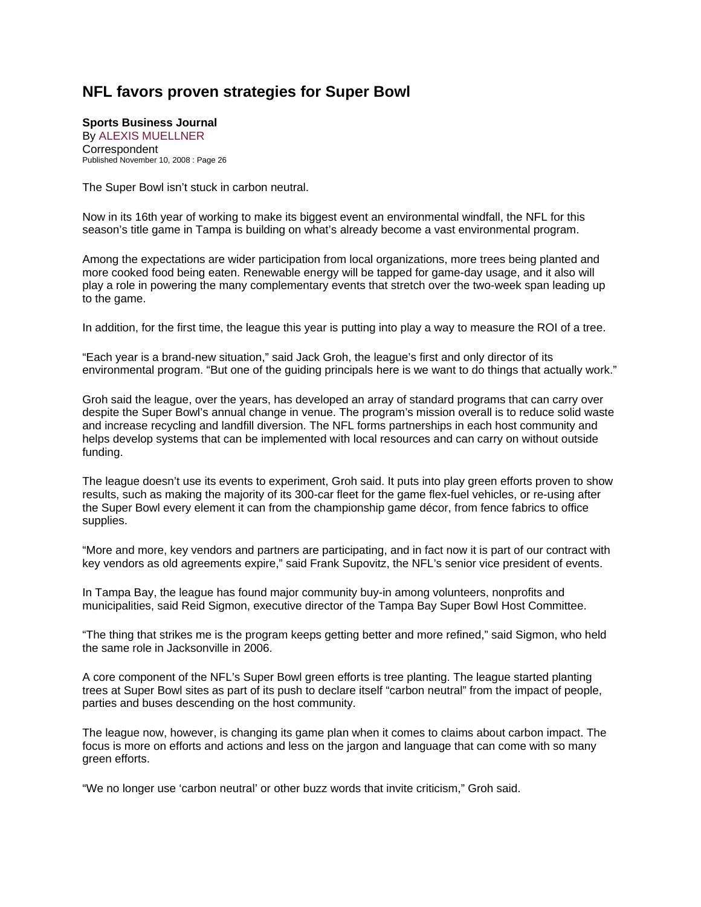## **NFL favors proven strategies for Super Bowl**

## **Sports Business Journal**  By ALEXIS MUELLNER

**Correspondent** Published November 10, 2008 : Page 26

The Super Bowl isn't stuck in carbon neutral.

Now in its 16th year of working to make its biggest event an environmental windfall, the NFL for this season's title game in Tampa is building on what's already become a vast environmental program.

Among the expectations are wider participation from local organizations, more trees being planted and more cooked food being eaten. Renewable energy will be tapped for game-day usage, and it also will play a role in powering the many complementary events that stretch over the two-week span leading up to the game.

In addition, for the first time, the league this year is putting into play a way to measure the ROI of a tree.

"Each year is a brand-new situation," said Jack Groh, the league's first and only director of its environmental program. "But one of the guiding principals here is we want to do things that actually work."

Groh said the league, over the years, has developed an array of standard programs that can carry over despite the Super Bowl's annual change in venue. The program's mission overall is to reduce solid waste and increase recycling and landfill diversion. The NFL forms partnerships in each host community and helps develop systems that can be implemented with local resources and can carry on without outside funding.

The league doesn't use its events to experiment, Groh said. It puts into play green efforts proven to show results, such as making the majority of its 300-car fleet for the game flex-fuel vehicles, or re-using after the Super Bowl every element it can from the championship game décor, from fence fabrics to office supplies.

"More and more, key vendors and partners are participating, and in fact now it is part of our contract with key vendors as old agreements expire," said Frank Supovitz, the NFL's senior vice president of events.

In Tampa Bay, the league has found major community buy-in among volunteers, nonprofits and municipalities, said Reid Sigmon, executive director of the Tampa Bay Super Bowl Host Committee.

"The thing that strikes me is the program keeps getting better and more refined," said Sigmon, who held the same role in Jacksonville in 2006.

A core component of the NFL's Super Bowl green efforts is tree planting. The league started planting trees at Super Bowl sites as part of its push to declare itself "carbon neutral" from the impact of people, parties and buses descending on the host community.

The league now, however, is changing its game plan when it comes to claims about carbon impact. The focus is more on efforts and actions and less on the jargon and language that can come with so many green efforts.

"We no longer use 'carbon neutral' or other buzz words that invite criticism," Groh said.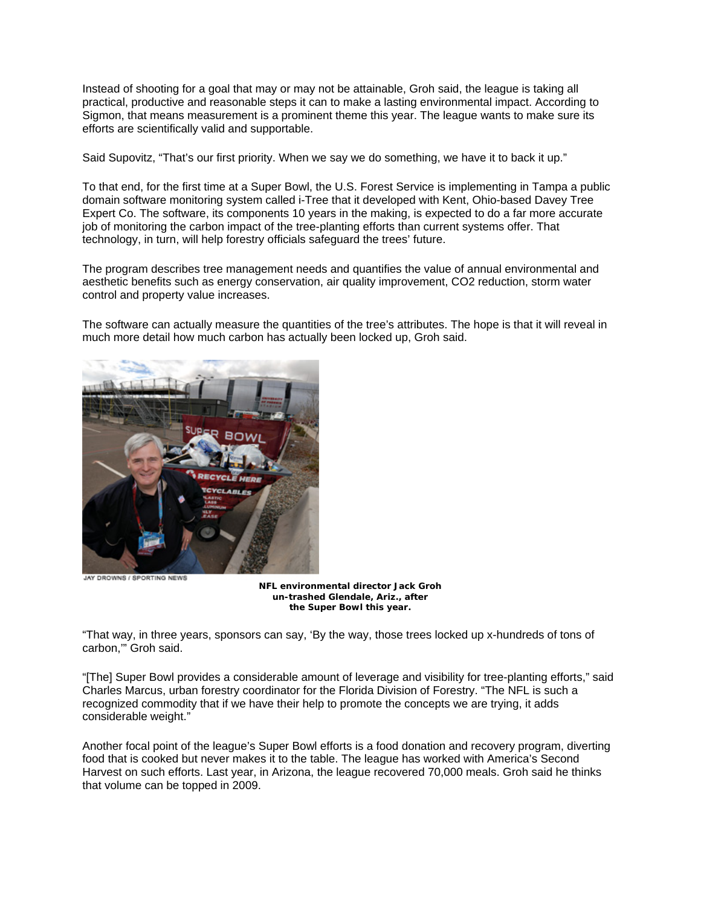Instead of shooting for a goal that may or may not be attainable, Groh said, the league is taking all practical, productive and reasonable steps it can to make a lasting environmental impact. According to Sigmon, that means measurement is a prominent theme this year. The league wants to make sure its efforts are scientifically valid and supportable.

Said Supovitz, "That's our first priority. When we say we do something, we have it to back it up."

To that end, for the first time at a Super Bowl, the U.S. Forest Service is implementing in Tampa a public domain software monitoring system called i-Tree that it developed with Kent, Ohio-based Davey Tree Expert Co. The software, its components 10 years in the making, is expected to do a far more accurate job of monitoring the carbon impact of the tree-planting efforts than current systems offer. That technology, in turn, will help forestry officials safeguard the trees' future.

The program describes tree management needs and quantifies the value of annual environmental and aesthetic benefits such as energy conservation, air quality improvement, CO2 reduction, storm water control and property value increases.

The software can actually measure the quantities of the tree's attributes. The hope is that it will reveal in much more detail how much carbon has actually been locked up, Groh said.



JAY DROWNS / SPORTING NEWS

**NFL environmental director Jack Groh un-trashed Glendale, Ariz., after the Super Bowl this year.** 

"That way, in three years, sponsors can say, 'By the way, those trees locked up x-hundreds of tons of carbon,'" Groh said.

"[The] Super Bowl provides a considerable amount of leverage and visibility for tree-planting efforts," said Charles Marcus, urban forestry coordinator for the Florida Division of Forestry. "The NFL is such a recognized commodity that if we have their help to promote the concepts we are trying, it adds considerable weight."

Another focal point of the league's Super Bowl efforts is a food donation and recovery program, diverting food that is cooked but never makes it to the table. The league has worked with America's Second Harvest on such efforts. Last year, in Arizona, the league recovered 70,000 meals. Groh said he thinks that volume can be topped in 2009.